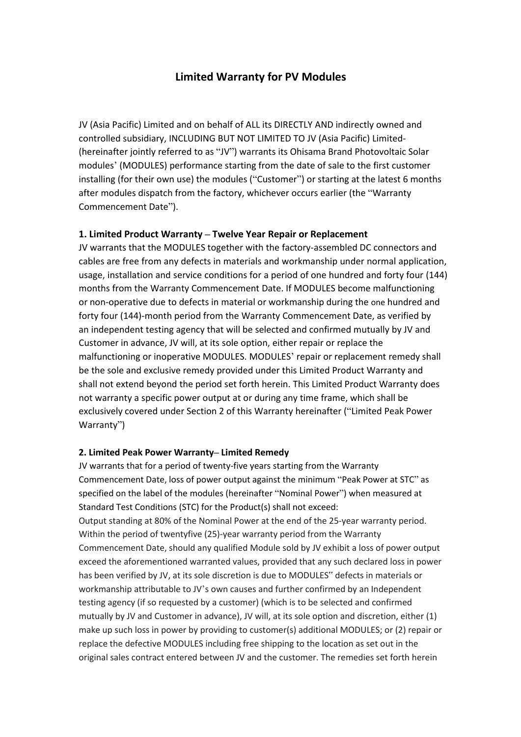# **Limited Warranty for PV Modules**

JV (Asia Pacific) Limited and on behalf of ALL its DIRECTLY AND indirectly owned and controlled subsidiary, INCLUDING BUT NOT LIMITED TO JV (Asia Pacific) Limited- (hereinafter jointly referred to as "JV") warrants its Ohisama Brand Photovoltaic Solar modules' (MODULES) performance starting from the date of sale to the first customer installing (for their own use) the modules ("Customer") or starting at the latest 6 months after modules dispatch from the factory, whichever occurs earlier (the "Warranty Commencement Date").

### **1. Limited Product Warranty – Twelve Year Repair or Replacement**

JV warrants that the MODULES together with the factory-assembled DC connectors and cables are free from any defects in materials and workmanship under normal application, usage, installation and service conditions for a period of one hundred and forty four(144) months from the Warranty Commencement Date. If MODULES become malfunctioning or non-operative due to defects in material or workmanship during the one hundred and forty four (144)-month period from the Warranty Commencement Date, as verified by an independent testing agency that will be selected and confirmed mutually by JV and Customer in advance, JV will, at its sole option, either repair or replace the malfunctioning or inoperative MODULES. MODULES' repair or replacement remedy shall be the sole and exclusive remedy provided under this Limited Product Warranty and shall not extend beyond the period set forth herein. This Limited Product Warranty does not warranty a specific power output at or during any time frame, which shall be exclusively covered under Section 2 of this Warranty hereinafter ("Limited Peak Power Warranty")

### **2. Limited Peak Power Warranty– Limited Remedy**

JV warrants that for a period of twenty-five years starting from the Warranty Commencement Date, loss of power output against the minimum "Peak Power at STC" as specified on the label of the modules (hereinafter "Nominal Power") when measured at Standard Test Conditions (STC) for the Product(s) shall not exceed: Output standing at 80% of the Nominal Power at the end of the 25-year warranty period. Within the period of twentyfive (25)-year warranty period from the Warranty Commencement Date, should any qualified Module sold by JV exhibit a loss of power output exceed the aforementioned warranted values, provided that any such declared loss in power has been verified by JV, at its sole discretion is due to MODULES" defects in materials or workmanship attributable to JV's own causes and further confirmed by an Independent testing agency (if so requested by a customer) (which is to be selected and confirmed mutually by JV and Customer in advance), JV will, at its sole option and discretion, either (1) make up such loss in power by providing to customer(s) additional MODULES; or (2) repair or replace the defective MODULES including free shipping to the location as set out in the original sales contract entered between JV and the customer. The remedies set forth herein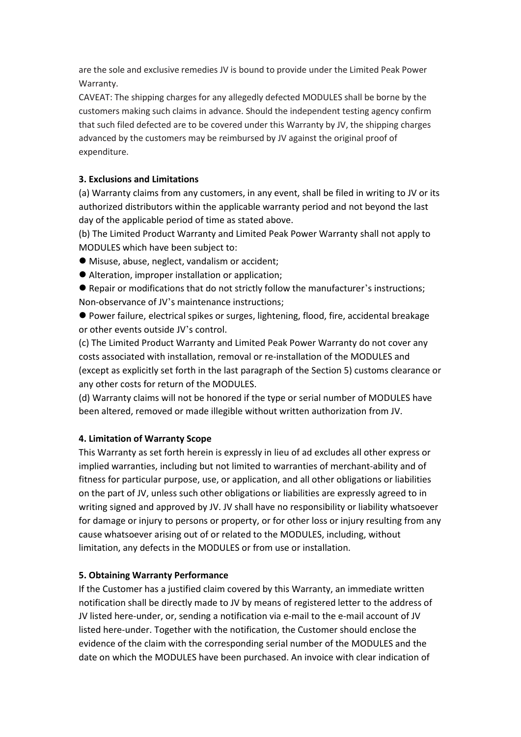are the sole and exclusive remedies JV is bound to provide under the Limited Peak Power Warranty.

CAVEAT: The shipping charges for any allegedly defected MODULES shall be borne by the customers making such claims in advance. Should the independent testing agency confirm that such filed defected are to be covered under this Warranty by JV, the shipping charges advanced by the customers may be reimbursed by JV against the original proof of expenditure.

## **3. Exclusions and Limitations**

(a) Warranty claims from any customers, in any event, shall be filed in writing to JV or its authorized distributors within the applicable warranty period and not beyond the last day of the applicable period of time as stated above.

(b) The Limited Product Warranty and Limited Peak Power Warranty shall not apply to MODULES which have been subject to:

- Misuse, abuse, neglect, vandalism or accident;
- Alteration, improper installation or application;
- Repair or modifications that do not strictly follow the manufacturer's instructions; Non-observance of JV's maintenance instructions;
- Power failure, electrical spikes or surges, lightening, flood, fire, accidental breakage or other events outside JV's control.

(c) The Limited Product Warranty and Limited Peak Power Warranty do not cover any costs associated with installation, removal or re-installation of the MODULES and (except as explicitly set forth in the last paragraph of the Section 5) customs clearance or any other costs for return of the MODULES.

(d) Warranty claims will not be honored if the type or serial number of MODULES have been altered, removed or made illegible without written authorization from JV.

# **4. Limitation of Warranty Scope**

This Warranty as set forth herein is expressly in lieu of ad excludes all other express or implied warranties, including but not limited to warranties of merchant-ability and of fitness for particular purpose, use, or application, and all other obligations or liabilities on the part of JV, unless such other obligations or liabilities are expressly agreed to in writing signed and approved by JV. JV shall have no responsibility or liability whatsoever for damage or injury to persons or property, or for other loss or injury resulting from any cause whatsoever arising out of or related to the MODULES, including, without limitation, any defects in the MODULES or from use or installation.

### **5. Obtaining Warranty Performance**

If the Customer has a justified claim covered by this Warranty, an immediate written notification shall be directly made to JV by means of registered letter to the address of JV listed here-under, or, sending a notification via e-mail to the e-mail account of JV listed here-under. Together with the notification, the Customer should enclose the evidence of the claim with the corresponding serial number of the MODULES and the date on which the MODULES have been purchased. An invoice with clear indication of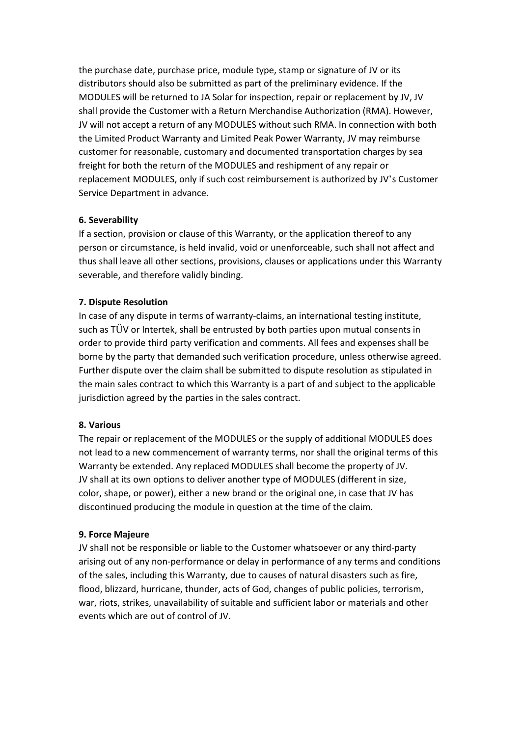the purchase date, purchase price, module type, stamp or signature of JV or its distributors should also be submitted as part of the preliminary evidence. If the MODULES will be returned to JA Solar for inspection, repair or replacement by JV, JV shall provide the Customer with a Return Merchandise Authorization (RMA). However, JV will not accept a return of any MODULES without such RMA. In connection with both the Limited Product Warranty and Limited Peak Power Warranty, JV may reimburse customer for reasonable, customary and documented transportation charges by sea freight for both the return of the MODULES and reshipment of any repair or replacement MODULES, only if such cost reimbursement is authorized by JV's Customer Service Department in advance.

### **6. Severability**

If a section, provision or clause of this Warranty, or the application thereof to any person or circumstance, is held invalid, void or unenforceable, such shall not affect and thus shall leave all other sections, provisions, clauses or applications under this Warranty severable, and therefore validly binding.

### **7. Dispute Resolution**

In case of any dispute in terms of warranty-claims, an international testing institute, such as TÜV or Intertek, shall be entrusted by both parties upon mutual consents in order to provide third party verification and comments. All fees and expenses shall be borne by the party that demanded such verification procedure, unless otherwise agreed. Further dispute over the claim shall be submitted to dispute resolution as stipulated in the main sales contract to which this Warranty is a part of and subject to the applicable jurisdiction agreed by the parties in the sales contract.

### **8. Various**

The repair or replacement of the MODULES or the supply of additional MODULES does not lead to a new commencement of warranty terms, nor shall the original terms of this Warranty be extended. Any replaced MODULES shall become the property of JV. JV shall at its own options to deliver another type of MODULES (different in size, color, shape, or power), either a new brand or the original one, in case that JV has discontinued producing the module in question at the time of the claim.

### **9. Force Majeure**

JV shall not be responsible or liable to the Customer whatsoever or any third-party arising out of any non-performance or delay in performance of any terms and conditions of the sales, including this Warranty, due to causes of natural disasters such as fire, flood, blizzard, hurricane, thunder, acts of God, changes of public policies, terrorism, war, riots, strikes, unavailability of suitable and sufficient labor or materials and other events which are out of control of JV.